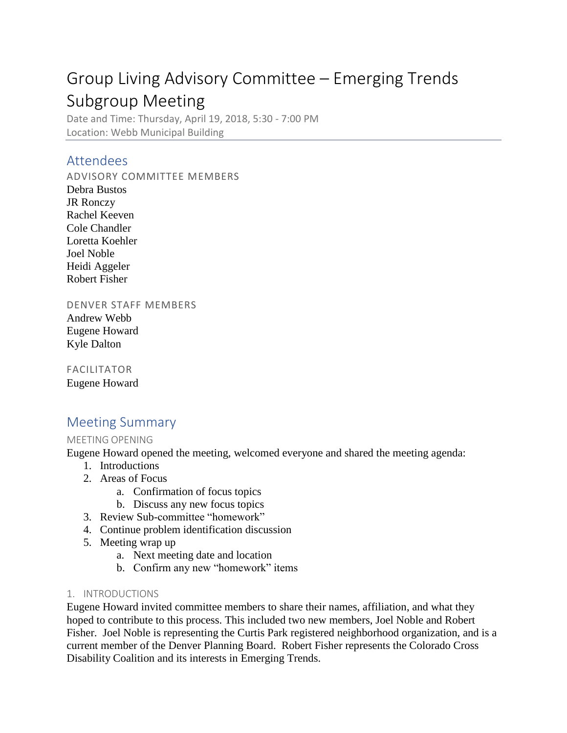# Group Living Advisory Committee – Emerging Trends Subgroup Meeting

Date and Time: Thursday, April 19, 2018, 5:30 - 7:00 PM Location: Webb Municipal Building

## Attendees

ADVISORY COMMITTEE MEMBERS

Debra Bustos JR Ronczy Rachel Keeven Cole Chandler Loretta Koehler Joel Noble Heidi Aggeler Robert Fisher

DENVER STAFF MEMBERS

Andrew Webb Eugene Howard Kyle Dalton

FACILITATOR Eugene Howard

## Meeting Summary

### MEETING OPENING

Eugene Howard opened the meeting, welcomed everyone and shared the meeting agenda:

- 1. Introductions
- 2. Areas of Focus
	- a. Confirmation of focus topics
	- b. Discuss any new focus topics
- 3. Review Sub-committee "homework"
- 4. Continue problem identification discussion
- 5. Meeting wrap up
	- a. Next meeting date and location
	- b. Confirm any new "homework" items
- 1. INTRODUCTIONS

Eugene Howard invited committee members to share their names, affiliation, and what they hoped to contribute to this process. This included two new members, Joel Noble and Robert Fisher. Joel Noble is representing the Curtis Park registered neighborhood organization, and is a current member of the Denver Planning Board. Robert Fisher represents the Colorado Cross Disability Coalition and its interests in Emerging Trends.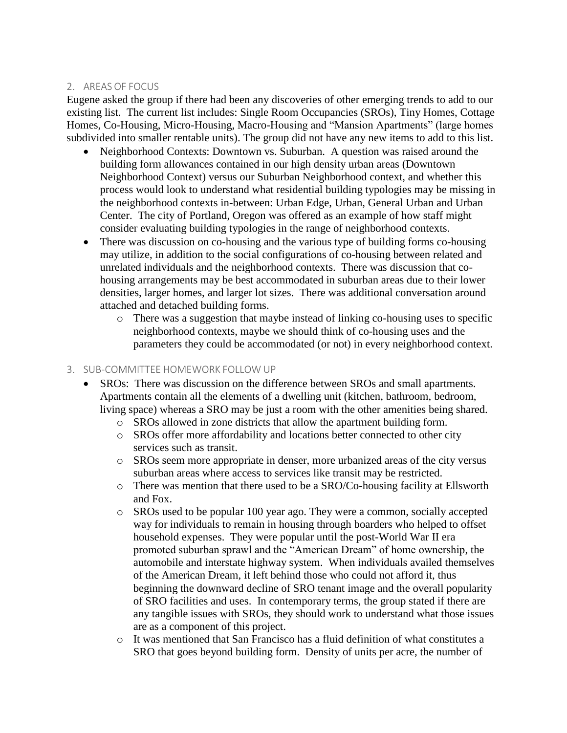#### 2. AREAS OF FOCUS

Eugene asked the group if there had been any discoveries of other emerging trends to add to our existing list. The current list includes: Single Room Occupancies (SROs), Tiny Homes, Cottage Homes, Co-Housing, Micro-Housing, Macro-Housing and "Mansion Apartments" (large homes subdivided into smaller rentable units). The group did not have any new items to add to this list.

- Neighborhood Contexts: Downtown vs. Suburban. A question was raised around the building form allowances contained in our high density urban areas (Downtown Neighborhood Context) versus our Suburban Neighborhood context, and whether this process would look to understand what residential building typologies may be missing in the neighborhood contexts in-between: Urban Edge, Urban, General Urban and Urban Center. The city of Portland, Oregon was offered as an example of how staff might consider evaluating building typologies in the range of neighborhood contexts.
- There was discussion on co-housing and the various type of building forms co-housing may utilize, in addition to the social configurations of co-housing between related and unrelated individuals and the neighborhood contexts. There was discussion that cohousing arrangements may be best accommodated in suburban areas due to their lower densities, larger homes, and larger lot sizes. There was additional conversation around attached and detached building forms.
	- $\circ$  There was a suggestion that maybe instead of linking co-housing uses to specific neighborhood contexts, maybe we should think of co-housing uses and the parameters they could be accommodated (or not) in every neighborhood context.

#### 3. SUB-COMMITTEE HOMEWORK FOLLOW UP

- SROs: There was discussion on the difference between SROs and small apartments. Apartments contain all the elements of a dwelling unit (kitchen, bathroom, bedroom, living space) whereas a SRO may be just a room with the other amenities being shared.
	- o SROs allowed in zone districts that allow the apartment building form.
	- o SROs offer more affordability and locations better connected to other city services such as transit.
	- o SROs seem more appropriate in denser, more urbanized areas of the city versus suburban areas where access to services like transit may be restricted.
	- o There was mention that there used to be a SRO/Co-housing facility at Ellsworth and Fox.
	- o SROs used to be popular 100 year ago. They were a common, socially accepted way for individuals to remain in housing through boarders who helped to offset household expenses. They were popular until the post-World War II era promoted suburban sprawl and the "American Dream" of home ownership, the automobile and interstate highway system. When individuals availed themselves of the American Dream, it left behind those who could not afford it, thus beginning the downward decline of SRO tenant image and the overall popularity of SRO facilities and uses. In contemporary terms, the group stated if there are any tangible issues with SROs, they should work to understand what those issues are as a component of this project.
	- o It was mentioned that San Francisco has a fluid definition of what constitutes a SRO that goes beyond building form. Density of units per acre, the number of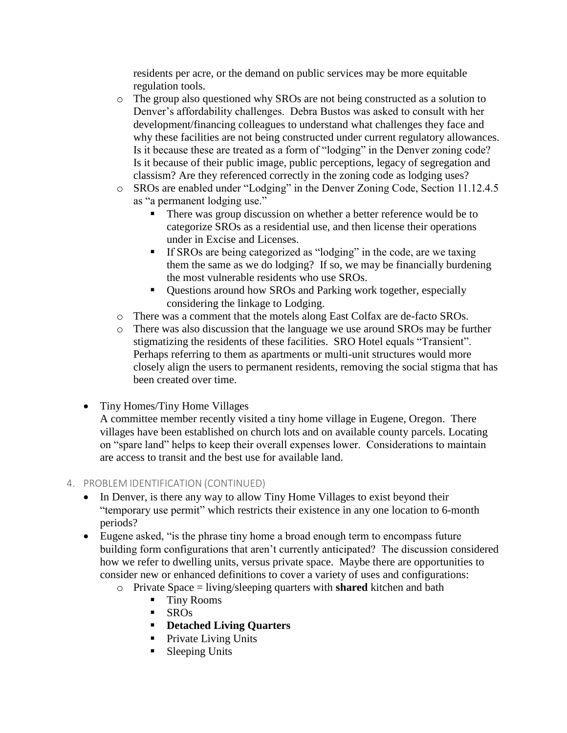residents per acre, or the demand on public services may be more equitable regulation tools.

- o The group also questioned why SROs are not being constructed as a solution to Denver's affordability challenges. Debra Bustos was asked to consult with her development/financing colleagues to understand what challenges they face and why these facilities are not being constructed under current regulatory allowances. Is it because these are treated as a form of "lodging" in the Denver zoning code? Is it because of their public image, public perceptions, legacy of segregation and classism? Are they referenced correctly in the zoning code as lodging uses?
- o SROs are enabled under "Lodging" in the Denver Zoning Code, Section 11.12.4.5 as "a permanent lodging use."
	- There was group discussion on whether a better reference would be to categorize SROs as a residential use, and then license their operations under in Excise and Licenses.
	- **•** If SROs are being categorized as "lodging" in the code, are we taxing them the same as we do lodging? If so, we may be financially burdening the most vulnerable residents who use SROs.
	- Questions around how SROs and Parking work together, especially considering the linkage to Lodging.
- o There was a comment that the motels along East Colfax are de-facto SROs.
- o There was also discussion that the language we use around SROs may be further stigmatizing the residents of these facilities. SRO Hotel equals "Transient". Perhaps referring to them as apartments or multi-unit structures would more closely align the users to permanent residents, removing the social stigma that has been created over time.
- Tiny Homes/Tiny Home Villages

A committee member recently visited a tiny home village in Eugene, Oregon. There villages have been established on church lots and on available county parcels. Locating on "spare land" helps to keep their overall expenses lower. Considerations to maintain are access to transit and the best use for available land.

#### 4. PROBLEM IDENTIFICATION (CONTINUED)

- In Denver, is there any way to allow Tiny Home Villages to exist beyond their "temporary use permit" which restricts their existence in any one location to 6-month periods?
- Eugene asked, "is the phrase tiny home a broad enough term to encompass future building form configurations that aren't currently anticipated? The discussion considered how we refer to dwelling units, versus private space. Maybe there are opportunities to consider new or enhanced definitions to cover a variety of uses and configurations:
	- o Private Space = living/sleeping quarters with **shared** kitchen and bath
		- Tiny Rooms
		- $\blacksquare$  SROs
		- **Detached Living Quarters**
		- Private Living Units
		- Sleeping Units